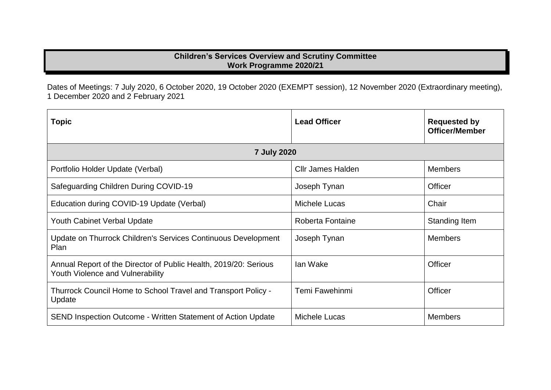## **Children's Services Overview and Scrutiny Committee Work Programme 2020/21**

Dates of Meetings: 7 July 2020, 6 October 2020, 19 October 2020 (EXEMPT session), 12 November 2020 (Extraordinary meeting), 1 December 2020 and 2 February 2021

| <b>Topic</b>                                                                                         | <b>Lead Officer</b> | <b>Requested by</b><br><b>Officer/Member</b> |  |  |
|------------------------------------------------------------------------------------------------------|---------------------|----------------------------------------------|--|--|
| <b>7 July 2020</b>                                                                                   |                     |                                              |  |  |
| Portfolio Holder Update (Verbal)                                                                     | Cllr James Halden   | <b>Members</b>                               |  |  |
| Safeguarding Children During COVID-19                                                                | Joseph Tynan        | Officer                                      |  |  |
| Education during COVID-19 Update (Verbal)                                                            | Michele Lucas       | Chair                                        |  |  |
| <b>Youth Cabinet Verbal Update</b>                                                                   | Roberta Fontaine    | Standing Item                                |  |  |
| Update on Thurrock Children's Services Continuous Development<br>Plan                                | Joseph Tynan        | <b>Members</b>                               |  |  |
| Annual Report of the Director of Public Health, 2019/20: Serious<br>Youth Violence and Vulnerability | lan Wake            | Officer                                      |  |  |
| Thurrock Council Home to School Travel and Transport Policy -<br>Update                              | Temi Fawehinmi      | Officer                                      |  |  |
| <b>SEND Inspection Outcome - Written Statement of Action Update</b>                                  | Michele Lucas       | <b>Members</b>                               |  |  |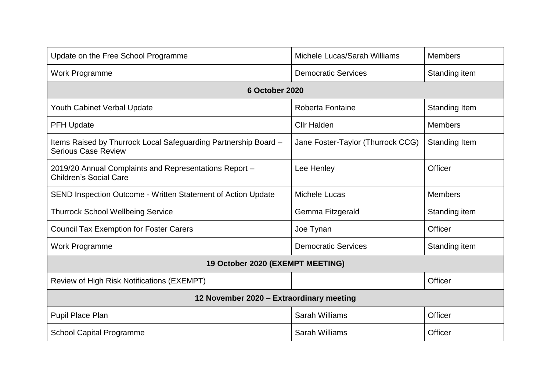| Update on the Free School Programme                                                           | Michele Lucas/Sarah Williams      | <b>Members</b>       |  |  |
|-----------------------------------------------------------------------------------------------|-----------------------------------|----------------------|--|--|
| Work Programme                                                                                | <b>Democratic Services</b>        | Standing item        |  |  |
| 6 October 2020                                                                                |                                   |                      |  |  |
| <b>Youth Cabinet Verbal Update</b>                                                            | Roberta Fontaine                  | <b>Standing Item</b> |  |  |
| <b>PFH Update</b>                                                                             | <b>Cllr Halden</b>                | <b>Members</b>       |  |  |
| Items Raised by Thurrock Local Safeguarding Partnership Board -<br><b>Serious Case Review</b> | Jane Foster-Taylor (Thurrock CCG) | <b>Standing Item</b> |  |  |
| 2019/20 Annual Complaints and Representations Report -<br><b>Children's Social Care</b>       | Lee Henley                        | <b>Officer</b>       |  |  |
| <b>SEND Inspection Outcome - Written Statement of Action Update</b>                           | <b>Michele Lucas</b>              | <b>Members</b>       |  |  |
| <b>Thurrock School Wellbeing Service</b>                                                      | Gemma Fitzgerald                  | Standing item        |  |  |
| <b>Council Tax Exemption for Foster Carers</b>                                                | Joe Tynan                         | <b>Officer</b>       |  |  |
| <b>Work Programme</b>                                                                         | <b>Democratic Services</b>        | Standing item        |  |  |
| 19 October 2020 (EXEMPT MEETING)                                                              |                                   |                      |  |  |
| Review of High Risk Notifications (EXEMPT)                                                    |                                   | Officer              |  |  |
| 12 November 2020 - Extraordinary meeting                                                      |                                   |                      |  |  |
| Pupil Place Plan                                                                              | <b>Sarah Williams</b>             | <b>Officer</b>       |  |  |
| <b>School Capital Programme</b>                                                               | <b>Sarah Williams</b>             | <b>Officer</b>       |  |  |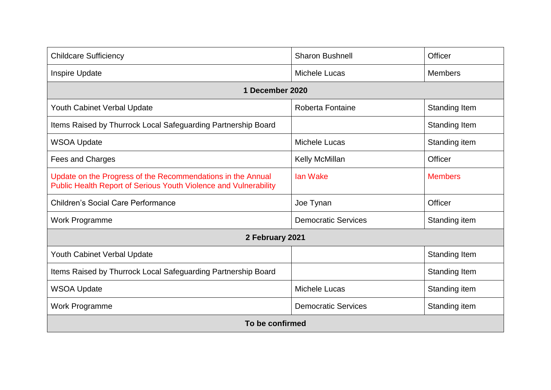| <b>Childcare Sufficiency</b>                                                                                                    | <b>Sharon Bushnell</b>     | Officer              |  |  |
|---------------------------------------------------------------------------------------------------------------------------------|----------------------------|----------------------|--|--|
| Inspire Update                                                                                                                  | <b>Michele Lucas</b>       | <b>Members</b>       |  |  |
| 1 December 2020                                                                                                                 |                            |                      |  |  |
| <b>Youth Cabinet Verbal Update</b>                                                                                              | Roberta Fontaine           | Standing Item        |  |  |
| Items Raised by Thurrock Local Safeguarding Partnership Board                                                                   |                            | <b>Standing Item</b> |  |  |
| <b>WSOA Update</b>                                                                                                              | Michele Lucas              | Standing item        |  |  |
| Fees and Charges                                                                                                                | <b>Kelly McMillan</b>      | <b>Officer</b>       |  |  |
| Update on the Progress of the Recommendations in the Annual<br>Public Health Report of Serious Youth Violence and Vulnerability | <b>lan Wake</b>            | <b>Members</b>       |  |  |
| <b>Children's Social Care Performance</b>                                                                                       | Joe Tynan                  | Officer              |  |  |
| Work Programme                                                                                                                  | <b>Democratic Services</b> | Standing item        |  |  |
| 2 February 2021                                                                                                                 |                            |                      |  |  |
| <b>Youth Cabinet Verbal Update</b>                                                                                              |                            | Standing Item        |  |  |
| Items Raised by Thurrock Local Safeguarding Partnership Board                                                                   |                            | <b>Standing Item</b> |  |  |
| <b>WSOA Update</b>                                                                                                              | <b>Michele Lucas</b>       | Standing item        |  |  |
| <b>Work Programme</b>                                                                                                           | <b>Democratic Services</b> | Standing item        |  |  |
| To be confirmed                                                                                                                 |                            |                      |  |  |